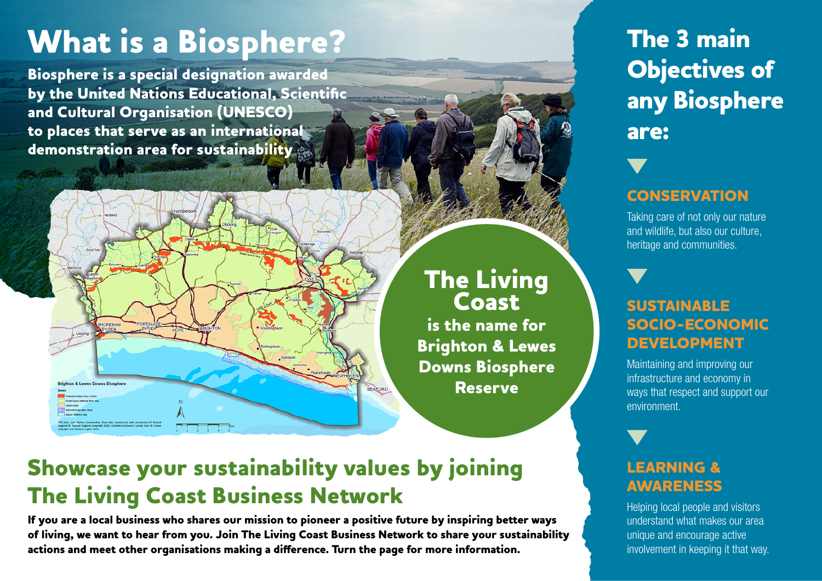# **What is a Biosphere?**

**Biosphere is a special designation awarded by the United Nations Educational, Scientific and Cultural Organisation (UNESCO) to places that serve as an international demonstration area for sustainability**



# **The Living Coast**

**is the name for Brighton & Lewes Downs Biosphere Reserve**

## **Showcase your sustainability values by joining The Living Coast Business Network**

**If you are a local business who shares our mission to pioneer a positive future by inspiring better ways of living, we want to hear from you. Join The Living Coast Business Network to share your sustainability actions and meet other organisations making a difference. Turn the page for more information.**

# **The 3 main Objectives of any Biosphere are:**

### **CONSERVATION**

Taking care of not only our nature and wildlife, but also our culture, heritage and communities.

### **SUSTAINABLE SOCIO-ECONOMIC DEVELOPMENT**

Maintaining and improving our infrastructure and economy in ways that respect and support our environment.

### **LEARNING & AWARENESS**

Helping local people and visitors understand what makes our area unique and encourage active involvement in keeping it that way.